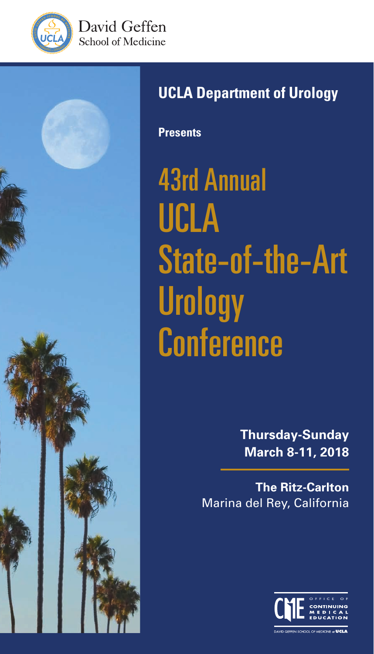





# **UCLA Department of Urology**

**Presents**

43rd Annual UCLA State-of-the-Art **Urology Conference** 

> **Thursday-Sunday March 8-11, 2018**

**The Ritz-Carlton** Marina del Rey, California

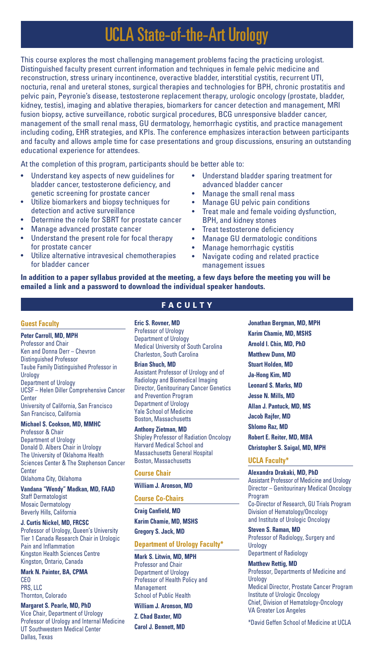# UCLA State-of-the-Art Urology

This course explores the most challenging management problems facing the practicing urologist. Distinguished faculty present current information and techniques in female pelvic medicine and reconstruction, stress urinary incontinence, overactive bladder, interstitial cystitis, recurrent UTI, nocturia, renal and ureteral stones, surgical therapies and technologies for BPH, chronic prostatitis and pelvic pain, Peyronie's disease, testosterone replacement therapy, urologic oncology (prostate, bladder, kidney, testis), imaging and ablative therapies, biomarkers for cancer detection and management, MRI fusion biopsy, active surveillance, robotic surgical procedures, BCG unresponsive bladder cancer, management of the small renal mass, GU dermatology, hemorrhagic cystitis, and practice management including coding, EHR strategies, and KPIs. The conference emphasizes interaction between participants and faculty and allows ample time for case presentations and group discussions, ensuring an outstanding educational experience for attendees.

At the completion of this program, participants should be better able to:

- Understand key aspects of new guidelines for bladder cancer, testosterone deficiency, and genetic screening for prostate cancer
- Utilize biomarkers and biopsy techniques for detection and active surveillance
- Determine the role for SBRT for prostate cancer
- Manage advanced prostate cancer
- Understand the present role for focal therapy for prostate cancer
- Utilize alternative intravesical chemotherapies for bladder cancer
- Understand bladder sparing treatment for advanced bladder cancer
- Manage the small renal mass
- Manage GU pelvic pain conditions
- Treat male and female voiding dysfunction. BPH, and kidney stones
- Treat testosterone deficiency
- Manage GU dermatologic conditions
- Manage hemorrhagic cystitis
- Navigate coding and related practice management issues

**In addition to a paper syllabus provided at the meeting, a few days before the meeting you will be emailed a link and a password to download the individual speaker handouts.**

#### **Guest Faculty**

#### **Peter Carroll, MD, MPH**

Professor and Chair Ken and Donna Derr – Chevron Distinguished Professor Taube Family Distinguished Professor in **Urology** Department of Urology UCSF – Helen Diller Comprehensive Cancer Center University of California, San Francisco San Francisco, California

#### **Michael S. Cookson, MD, MMHC**  Professor & Chair

Department of Urology Donald D. Albers Chair in Urology The University of Oklahoma Health Sciences Center & The Stephenson Cancer Center Oklahoma City, Oklahoma

**Vandana "Wendy" Madkan, MD, FAAD** Staff Dermatologist Mosaic Dermatology Beverly Hills, California

**J. Curtis Nickel, MD, FRCSC** Professor of Urology, Queen's University Tier 1 Canada Research Chair in Urologic Pain and Inflammation Kingston Health Sciences Centre Kingston, Ontario, Canada

**Mark N. Painter, BA, CPMA** CEO PRS, LLC Thornton, Colorado

**Margaret S. Pearle, MD, PhD** Vice Chair, Department of Urology Professor of Urology and Internal Medicine UT Southwestern Medical Center Dallas, Texas

# FACULTY

**Eric S. Rovner, MD**

Professor of Urology Department of Urology Medical University of South Carolina Charleston, South Carolina

#### **Brian Shuch, MD**

Assistant Professor of Urology and of Radiology and Biomedical Imaging Director, Genitourinary Cancer Genetics and Prevention Program Department of Urology Yale School of Medicine Boston, Massachusetts

**Anthony Zietman, MD**

Shipley Professor of Radiation Oncology Harvard Medical School and Massachusetts General Hospital Boston, Massachusetts

#### **Course Chair**

#### **William J. Aronson, MD**

**Course Co-Chairs**

**Craig Canfield, MD Karim Chamie, MD, MSHS**

**Gregory S. Jack, MD**

#### **Department of Urology Faculty\***

**Mark S. Litwin, MD, MPH** Professor and Chair Department of Urology Professor of Health Policy and Management School of Public Health

#### **William J. Aronson, MD**

**Z. Chad Baxter, MD Carol J. Bennett, MD** **Jonathan Bergman, MD, MPH Karim Chamie, MD, MSHS Arnold I. Chin, MD, PhD Matthew Dunn, MD Stuart Holden, MD Ja-Hong Kim, MD Leonard S. Marks, MD Jesse N. Mills, MD Allan J. Pantuck, MD, MS Jacob Rajfer, MD Shlomo Raz, MD Robert E. Reiter, MD, MBA Christopher S. Saigal, MD, MPH**

#### **UCLA Faculty\***

**Alexandra Drakaki, MD, PhD** Assistant Professor of Medicine and Urology Director – Genitourinary Medical Oncology Program Co-Director of Research, GU Trials Program Division of Hematology/Oncology and Institute of Urologic Oncology

**Steven S. Raman, MD** Professor of Radiology, Surgery and **Urology** Department of Radiology

#### **Matthew Rettig, MD**

Professor, Departments of Medicine and Urology Medical Director, Prostate Cancer Program Institute of Urologic Oncology Chief, Division of Hematology-Oncology VA Greater Los Angeles

\*David Geffen School of Medicine at UCLA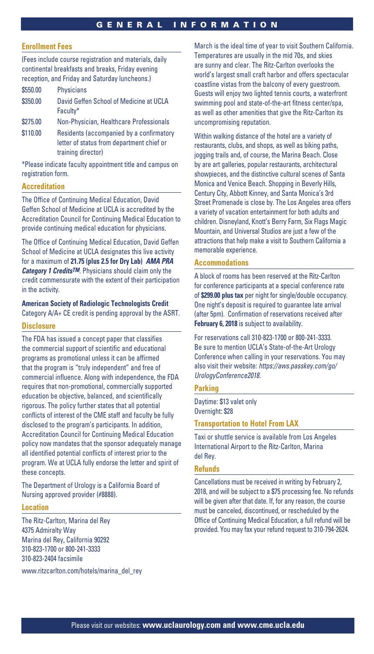#### **Enrollment Fees**

(Fees include course registration and materials, daily continental breakfasts and breaks, Friday evening reception, and Friday and Saturday luncheons.)

| \$550.00 | <b>Physicians</b>                                   |
|----------|-----------------------------------------------------|
| \$350.00 | David Geffen School of Medicine at UCLA<br>Faculty* |
| \$275.00 | Non-Physician, Healthcare Professionals             |

\$110.00 Residents (accompanied by a confirmatory letter of status from department chief or training director)

\*Please indicate faculty appointment title and campus on registration form.

#### **Accreditation**

The Office of Continuing Medical Education, David Geffen School of Medicine at UCLA is accredited by the Accreditation Council for Continuing Medical Education to provide continuing medical education for physicians.

The Office of Continuing Medical Education, David Geffen School of Medicine at UCLA designates this live activity for a maximum of **21.75 (plus 2.5 for Dry Lab)** *AMA PRA Category 1 CreditsTM.* Physicians should claim only the credit commensurate with the extent of their participation in the activity.

**American Society of Radiologic Technologists Credit** Category A/A+ CE credit is pending approval by the ASRT.

#### **Disclosure**

The FDA has issued a concept paper that classifies the commercial support of scientific and educational programs as promotional unless it can be affirmed that the program is "truly independent" and free of commercial influence. Along with independence, the FDA requires that non-promotional, commercially supported education be objective, balanced, and scientifically rigorous. The policy further states that all potential conflicts of interest of the CME staff and faculty be fully disclosed to the program's participants. In addition, Accreditation Council for Continuing Medical Education policy now mandates that the sponsor adequately manage all identified potential conflicts of interest prior to the program. We at UCLA fully endorse the letter and spirit of these concepts.

The Department of Urology is a California Board of Nursing approved provider (#8888).

#### **Location**

The Ritz-Carlton, Marina del Rey 4375 Admiralty Way Marina del Rey, California 90292 310-823-1700 or 800-241-3333 310-823-2404 facsimile

www.ritzcarlton.com/hotels/marina\_del\_rey

March is the ideal time of year to visit Southern California. Temperatures are usually in the mid 70s, and skies are sunny and clear. The Ritz-Carlton overlooks the world's largest small craft harbor and offers spectacular coastline vistas from the balcony of every guestroom. Guests will enjoy two lighted tennis courts, a waterfront swimming pool and state-of-the-art fitness center/spa, as well as other amenities that give the Ritz-Carlton its uncompromising reputation.

Within walking distance of the hotel are a variety of restaurants, clubs, and shops, as well as biking paths, jogging trails and, of course, the Marina Beach. Close by are art galleries, popular restaurants, architectural showpieces, and the distinctive cultural scenes of Santa Monica and Venice Beach. Shopping in Beverly Hills, Century City, Abbott Kinney, and Santa Monica's 3rd Street Promenade is close by. The Los Angeles area offers a variety of vacation entertainment for both adults and children. Disneyland, Knott's Berry Farm, Six Flags Magic Mountain, and Universal Studios are just a few of the attractions that help make a visit to Southern California a memorable experience.

#### **Accommodations**

A block of rooms has been reserved at the Ritz-Carlton for conference participants at a special conference rate of **\$299.00 plus tax** per night for single/double occupancy. One night's deposit is required to guarantee late arrival (after 5pm). Confirmation of reservations received after **February 6, 2018** is subject to availability.

For reservations call 310-823-1700 or 800-241-3333. Be sure to mention UCLA's State-of-the-Art Urology Conference when calling in your reservations. You may also visit their website: *https://aws.passkey.com/go/ UrologyConference2018*.

#### **Parking**

Daytime: \$13 valet only Overnight: \$28

#### **Transportation to Hotel From LAX**

Taxi or shuttle service is available from Los Angeles International Airport to the Ritz-Carlton, Marina del Rey.

#### **Refunds**

Cancellations must be received in writing by February 2, 2018, and will be subject to a \$75 processing fee. No refunds will be given after that date. If, for any reason, the course must be canceled, discontinued, or rescheduled by the Office of Continuing Medical Education, a full refund will be provided. You may fax your refund request to 310-794-2624.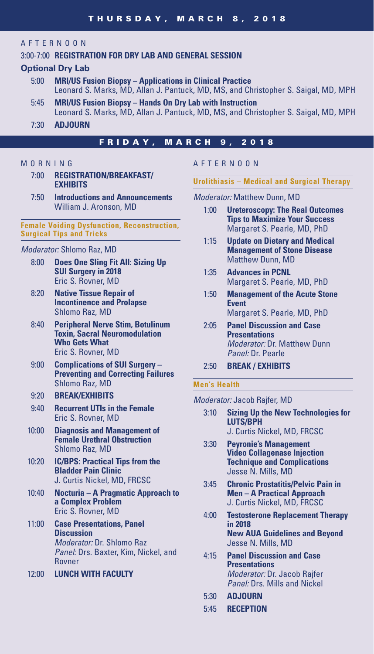# AFTERNOON

# 3:00-7:00 **REGISTRATION FOR DRY LAB AND GENERAL SESSION**

# **Optional Dry Lab**

- 5:00 **MRI/US Fusion Biopsy Applications in Clinical Practice**  Leonard S. Marks, MD, Allan J. Pantuck, MD, MS, and Christopher S. Saigal, MD, MPH
- 5:45 **MRI/US Fusion Biopsy Hands On Dry Lab with Instruction**  Leonard S. Marks, MD, Allan J. Pantuck, MD, MS, and Christopher S. Saigal, MD, MPH
- 7:30 **ADJOURN**

### FRIDAY, MARCH 9, 2018

#### M O R N I N G

- 7:00 **REGISTRATION/BREAKFAST/ EXHIBITS**
- 7:50 **Introductions and Announcements** William J. Aronson, MD

#### **Female Voiding Dysfunction, Reconstruction, Surgical Tips and Tricks**

#### *Moderator:* Shlomo Raz, MD

- 8:00 **Does One Sling Fit All: Sizing Up SUI Surgery in 2018** Eric S. Rovner, MD
- 8:20 **Native Tissue Repair of Incontinence and Prolapse** Shlomo Raz, MD
- 8:40 **Peripheral Nerve Stim, Botulinum Toxin, Sacral Neuromodulation Who Gets What** Eric S. Rovner, MD
- 9:00 **Complications of SUI Surgery Preventing and Correcting Failures** Shlomo Raz, MD

## 9:20 **BREAK/EXHIBITS**

- 9:40 **Recurrent UTIs in the Female** Eric S. Rovner, MD
- 10:00 **Diagnosis and Management of Female Urethral Obstruction** Shlomo Raz, MD
- 10:20 **IC/BPS: Practical Tips from the Bladder Pain Clinic** J. Curtis Nickel, MD, FRCSC
- 10:40 **Nocturia A Pragmatic Approach to a Complex Problem** Eric S. Rovner, MD
- 11:00 **Case Presentations, Panel Discussion** *Moderator:* Dr. Shlomo Raz *Panel:* Drs. Baxter, Kim, Nickel, and Rovner
- 12:00 **LUNCH WITH FACULTY**

#### AFTERNOON

#### **Urolithiasis – Medical and Surgical Therapy**

*Moderator:* Matthew Dunn, MD

- 1:00 **Ureteroscopy: The Real Outcomes Tips to Maximize Your Success** Margaret S. Pearle, MD, PhD
- 1:15 **Update on Dietary and Medical Management of Stone Disease** Matthew Dunn, MD
- 1:35 **Advances in PCNL** Margaret S. Pearle, MD, PhD
- 1:50 **Management of the Acute Stone Event** Margaret S. Pearle, MD, PhD
- 2:05 **Panel Discussion and Case Presentations** *Moderator:* Dr. Matthew Dunn *Panel:* Dr. Pearle
- 2:50 **BREAK / EXHIBITS**

#### **Men's Health**

*Moderator:* Jacob Rajfer, MD

- 3:10 **Sizing Up the New Technologies for LUTS/BPH**
	- J. Curtis Nickel, MD, FRCSC
- 3:30 **Peyronie's Management Video Collagenase Injection Technique and Complications** Jesse N. Mills, MD
- 3:45 **Chronic Prostatitis/Pelvic Pain in Men – A Practical Approach** J. Curtis Nickel, MD, FRCSC
- 4:00 **Testosterone Replacement Therapy in 2018 New AUA Guidelines and Beyond** Jesse N. Mills, MD
- 4:15 **Panel Discussion and Case Presentations** *Moderator:* Dr. Jacob Rajfer *Panel:* Drs. Mills and Nickel
- 5:30 **ADJOURN**
- 5:45 **RECEPTION**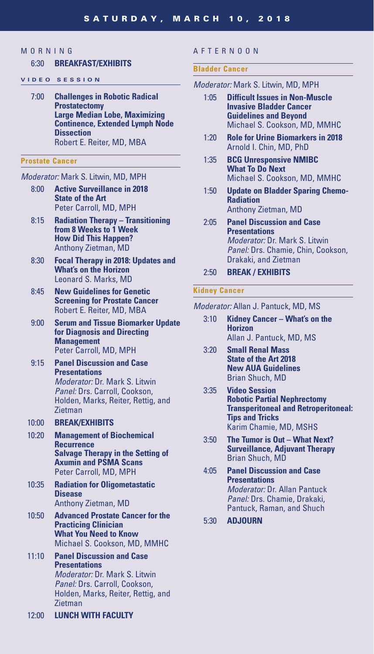# **MORNING**

#### 6:30 **BREAKFAST/EXHIBITS**

#### **VIDEO SESSION**

7:00 **Challenges in Robotic Radical Prostatectomy Large Median Lobe, Maximizing Continence, Extended Lymph Node Dissection** Robert E. Reiter, MD, MBA

#### **Prostate Cancer**

#### *Moderator:* Mark S. Litwin, MD, MPH

- 8:00 **Active Surveillance in 2018 State of the Art** Peter Carroll, MD, MPH
- 8:15 **Radiation Therapy Transitioning from 8 Weeks to 1 Week How Did This Happen?** Anthony Zietman, MD
- 8:30 **Focal Therapy in 2018: Updates and What's on the Horizon** Leonard S. Marks, MD
- 8:45 **New Guidelines for Genetic Screening for Prostate Cancer** Robert E. Reiter, MD, MBA
- 9:00 **Serum and Tissue Biomarker Update for Diagnosis and Directing Management** Peter Carroll, MD, MPH
- 9:15 **Panel Discussion and Case Presentations**  *Moderator:* Dr. Mark S. Litwin *Panel:* Drs. Carroll, Cookson, Holden, Marks, Reiter, Rettig, and **Zietman**
- 10:00 **BREAK/EXHIBITS**
- 10:20 **Management of Biochemical Recurrence Salvage Therapy in the Setting of Axumin and PSMA Scans**  Peter Carroll, MD, MPH
- 10:35 **Radiation for Oligometastatic Disease** Anthony Zietman, MD
- 10:50 **Advanced Prostate Cancer for the Practicing Clinician What You Need to Know** Michael S. Cookson, MD, MMHC
- 11:10 **Panel Discussion and Case Presentations**  *Moderator:* Dr. Mark S. Litwin *Panel:* Drs. Carroll, Cookson, Holden, Marks, Reiter, Rettig, and Zietman
- 12:00 **LUNCH WITH FACULTY**

#### AFTERNOON

#### **Bladder Cancer**

- *Moderator:* Mark S. Litwin, MD, MPH
	- 1:05 **Difficult Issues in Non-Muscle Invasive Bladder Cancer Guidelines and Beyond** Michael S. Cookson, MD, MMHC
	- 1:20 **Role for Urine Biomarkers in 2018** Arnold I. Chin, MD, PhD
	- 1:35 **BCG Unresponsive NMIBC What To Do Next** Michael S. Cookson, MD, MMHC
	- 1:50 **Update on Bladder Sparing Chemo-Radiation** Anthony Zietman, MD
	- 2:05 **Panel Discussion and Case Presentations** *Moderator:* Dr. Mark S. Litwin *Panel:* Drs. Chamie, Chin, Cookson, Drakaki, and Zietman
	- 2:50 **BREAK / EXHIBITS**

#### **Kidney Cancer**

#### *Moderator:* Allan J. Pantuck, MD, MS

- 3:10 **Kidney Cancer What's on the Horizon** Allan J. Pantuck, MD, MS
- 3:20 **Small Renal Mass State of the Art 2018 New AUA Guidelines** Brian Shuch, MD
- 3:35 **Video Session Robotic Partial Nephrectomy Transperitoneal and Retroperitoneal: Tips and Tricks** Karim Chamie, MD, MSHS
- 3:50 **The Tumor is Out What Next? Surveillance, Adjuvant Therapy** Brian Shuch, MD
- 4:05 **Panel Discussion and Case Presentations** *Moderator:* Dr. Allan Pantuck *Panel:* Drs. Chamie, Drakaki, Pantuck, Raman, and Shuch
- 5:30 **ADJOURN**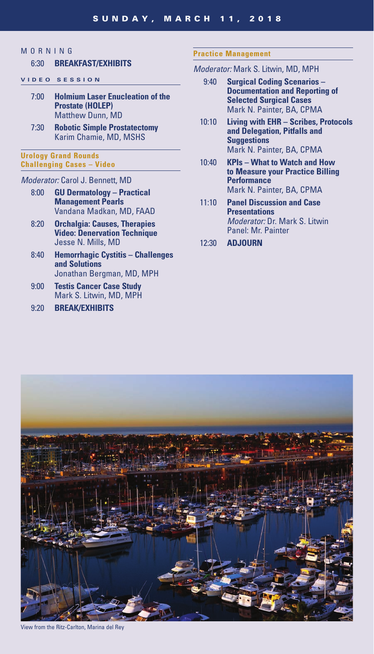# MORNING

# 6:30 **BREAKFAST/EXHIBITS**

- **VIDEO SESSION**
	- 7:00 **Holmium Laser Enucleation of the Prostate (HOLEP)** Matthew Dunn, MD
	- 7:30 **Robotic Simple Prostatectomy** Karim Chamie, MD, MSHS

#### **Urology Grand Rounds Challenging Cases – Video**

#### *Moderator:* Carol J. Bennett, MD

- 8:00 **GU Dermatology Practical Management Pearls** Vandana Madkan, MD, FAAD
- 8:20 **Orchalgia: Causes, Therapies Video: Denervation Technique** Jesse N. Mills, MD
- 8:40 **Hemorrhagic Cystitis Challenges and Solutions** Jonathan Bergman, MD, MPH
- 9:00 **Testis Cancer Case Study** Mark S. Litwin, MD, MPH

#### 9:20 **BREAK/EXHIBITS**

#### **Practice Management**

### *Moderator:* Mark S. Litwin, MD, MPH

- 9:40 **Surgical Coding Scenarios Documentation and Reporting of Selected Surgical Cases** Mark N. Painter, BA, CPMA
- 10:10 **Living with EHR Scribes, Protocols and Delegation, Pitfalls and Suggestions** Mark N. Painter, BA, CPMA
- 10:40 **KPIs What to Watch and How to Measure your Practice Billing Performance** Mark N. Painter, BA, CPMA
- 11:10 **Panel Discussion and Case Presentations** *Moderator:* Dr. Mark S. Litwin Panel: Mr. Painter
- 12:30 **ADJOURN**



View from the Ritz-Carlton, Marina del Rey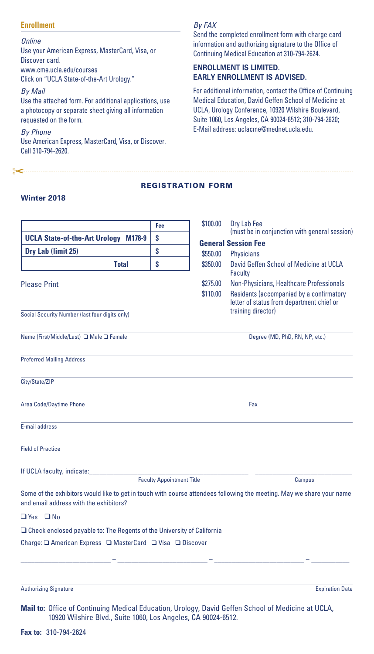#### **Enrollment**

*Online*

Use your American Express, MasterCard, Visa, or Discover card. www.cme.ucla.edu/courses Click on "UCLA State-of-the-Art Urology."

*By Mail*

Use the attached form. For additional applications, use a photocopy or separate sheet giving all information requested on the form.

*By Phone* Use American Express, MasterCard, Visa, or Discover. Call 310-794-2620.

<u> 2</u>

# *By FAX*

Send the completed enrollment form with charge card information and authorizing signature to the Office of Continuing Medical Education at 310-794-2624.

## **ENROLLMENT IS LIMITED. EARLY ENROLLMENT IS ADVISED.**

For additional information, contact the Office of Continuing Medical Education, David Geffen School of Medicine at UCLA, Urology Conference, 10920 Wilshire Boulevard, Suite 1060, Los Angeles, CA 90024-6512; 310-794-2620; E-Mail address: uclacme@mednet.ucla.edu.

#### REGISTRATION FORM

#### **Winter 2018**

|                                                                                                                                                                     | Fee                              | \$100.00             | Dry Lab Fee<br>(must be in conjunction with general session)                                                                                            |
|---------------------------------------------------------------------------------------------------------------------------------------------------------------------|----------------------------------|----------------------|---------------------------------------------------------------------------------------------------------------------------------------------------------|
| <b>UCLA State-of-the-Art Urology M178-9</b>                                                                                                                         | \$                               |                      | <b>General Session Fee</b>                                                                                                                              |
| Dry Lab (limit 25)                                                                                                                                                  | S                                | \$550.00             | Physicians                                                                                                                                              |
| <b>Total</b>                                                                                                                                                        | \$                               | \$350.00             | David Geffen School of Medicine at UCLA<br>Faculty                                                                                                      |
| <b>Please Print</b>                                                                                                                                                 |                                  | \$275.00<br>\$110.00 | Non-Physicians, Healthcare Professionals<br>Residents (accompanied by a confirmatory<br>letter of status from department chief or<br>training director) |
| Social Security Number (last four digits only)                                                                                                                      |                                  |                      |                                                                                                                                                         |
| Name (First/Middle/Last) □ Male □ Female                                                                                                                            |                                  |                      | Degree (MD, PhD, RN, NP, etc.)                                                                                                                          |
| <b>Preferred Mailing Address</b>                                                                                                                                    |                                  |                      |                                                                                                                                                         |
| City/State/ZIP                                                                                                                                                      |                                  |                      |                                                                                                                                                         |
| Area Code/Daytime Phone                                                                                                                                             |                                  |                      | Fax                                                                                                                                                     |
| E-mail address                                                                                                                                                      |                                  |                      |                                                                                                                                                         |
| <b>Field of Practice</b>                                                                                                                                            |                                  |                      |                                                                                                                                                         |
| If UCLA faculty, indicate:                                                                                                                                          | <b>Faculty Appointment Title</b> |                      | Campus                                                                                                                                                  |
| Some of the exhibitors would like to get in touch with course attendees following the meeting. May we share your name<br>and email address with the exhibitors?     |                                  |                      |                                                                                                                                                         |
| $\Box$ Yes $\Box$ No                                                                                                                                                |                                  |                      |                                                                                                                                                         |
| $\Box$ Check enclosed payable to: The Regents of the University of California                                                                                       |                                  |                      |                                                                                                                                                         |
|                                                                                                                                                                     |                                  |                      |                                                                                                                                                         |
|                                                                                                                                                                     |                                  |                      |                                                                                                                                                         |
| <b>Authorizing Signature</b>                                                                                                                                        |                                  |                      | <b>Expiration Date</b>                                                                                                                                  |
| Mail to: Office of Continuing Medical Education, Urology, David Geffen School of Medicine at UCLA,<br>10920 Wilshire Blvd., Suite 1060, Los Angeles, CA 90024-6512. |                                  |                      |                                                                                                                                                         |

**Fax to:** 310-794-2624